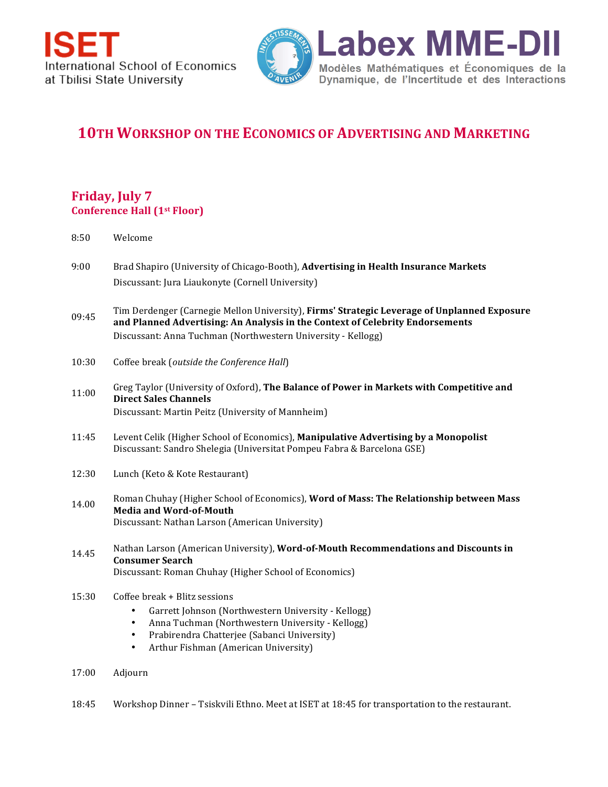

## **10TH WORKSHOP ON THE ECONOMICS OF ADVERTISING AND MARKETING**

## **Friday, July 7 Conference Hall (1st Floor)**

| 8:50  | Welcome                                                                                                                                                                                                                                                     |
|-------|-------------------------------------------------------------------------------------------------------------------------------------------------------------------------------------------------------------------------------------------------------------|
| 9:00  | Brad Shapiro (University of Chicago-Booth), Advertising in Health Insurance Markets<br>Discussant: Jura Liaukonyte (Cornell University)                                                                                                                     |
| 09:45 | Tim Derdenger (Carnegie Mellon University), Firms' Strategic Leverage of Unplanned Exposure<br>and Planned Advertising: An Analysis in the Context of Celebrity Endorsements<br>Discussant: Anna Tuchman (Northwestern University - Kellogg)                |
| 10:30 | Coffee break (outside the Conference Hall)                                                                                                                                                                                                                  |
| 11:00 | Greg Taylor (University of Oxford), The Balance of Power in Markets with Competitive and<br><b>Direct Sales Channels</b><br>Discussant: Martin Peitz (University of Mannheim)                                                                               |
| 11:45 | Levent Celik (Higher School of Economics), Manipulative Advertising by a Monopolist<br>Discussant: Sandro Shelegia (Universitat Pompeu Fabra & Barcelona GSE)                                                                                               |
| 12:30 | Lunch (Keto & Kote Restaurant)                                                                                                                                                                                                                              |
| 14.00 | Roman Chuhay (Higher School of Economics), Word of Mass: The Relationship between Mass<br><b>Media and Word-of-Mouth</b><br>Discussant: Nathan Larson (American University)                                                                                 |
| 14.45 | Nathan Larson (American University), Word-of-Mouth Recommendations and Discounts in<br><b>Consumer Search</b><br>Discussant: Roman Chuhay (Higher School of Economics)                                                                                      |
| 15:30 | Coffee break + Blitz sessions<br>Garrett Johnson (Northwestern University - Kellogg)<br>٠<br>Anna Tuchman (Northwestern University - Kellogg)<br>$\bullet$<br>Prabirendra Chatterjee (Sabanci University)<br>٠<br>Arthur Fishman (American University)<br>٠ |
| 17:00 | Adjourn                                                                                                                                                                                                                                                     |

18:45 Workshop Dinner - Tsiskvili Ethno. Meet at ISET at 18:45 for transportation to the restaurant.